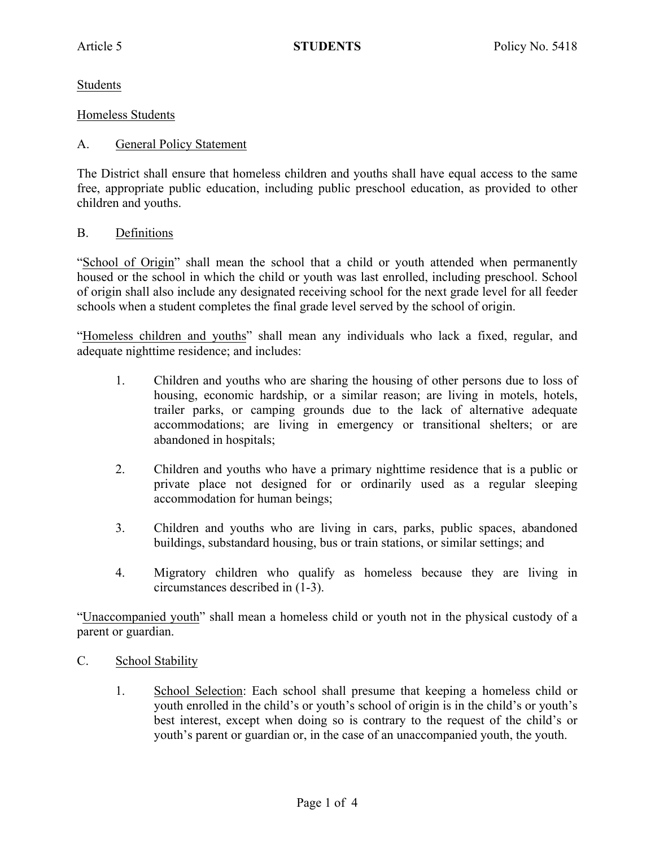Students

#### Homeless Students

### A. General Policy Statement

The District shall ensure that homeless children and youths shall have equal access to the same free, appropriate public education, including public preschool education, as provided to other children and youths.

#### B. Definitions

"School of Origin" shall mean the school that a child or youth attended when permanently housed or the school in which the child or youth was last enrolled, including preschool. School of origin shall also include any designated receiving school for the next grade level for all feeder schools when a student completes the final grade level served by the school of origin.

"Homeless children and youths" shall mean any individuals who lack a fixed, regular, and adequate nighttime residence; and includes:

- 1. Children and youths who are sharing the housing of other persons due to loss of housing, economic hardship, or a similar reason; are living in motels, hotels, trailer parks, or camping grounds due to the lack of alternative adequate accommodations; are living in emergency or transitional shelters; or are abandoned in hospitals;
- 2. Children and youths who have a primary nighttime residence that is a public or private place not designed for or ordinarily used as a regular sleeping accommodation for human beings;
- 3. Children and youths who are living in cars, parks, public spaces, abandoned buildings, substandard housing, bus or train stations, or similar settings; and
- 4. Migratory children who qualify as homeless because they are living in circumstances described in (1-3).

"Unaccompanied youth" shall mean a homeless child or youth not in the physical custody of a parent or guardian.

- C. School Stability
	- 1. School Selection: Each school shall presume that keeping a homeless child or youth enrolled in the child's or youth's school of origin is in the child's or youth's best interest, except when doing so is contrary to the request of the child's or youth's parent or guardian or, in the case of an unaccompanied youth, the youth.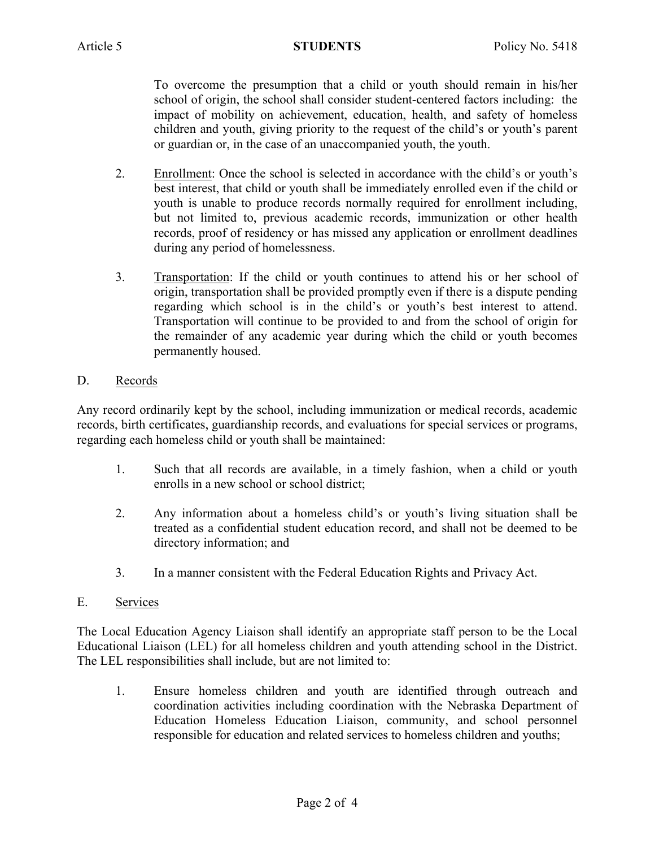To overcome the presumption that a child or youth should remain in his/her school of origin, the school shall consider student-centered factors including: the impact of mobility on achievement, education, health, and safety of homeless children and youth, giving priority to the request of the child's or youth's parent or guardian or, in the case of an unaccompanied youth, the youth.

- 2. Enrollment: Once the school is selected in accordance with the child's or youth's best interest, that child or youth shall be immediately enrolled even if the child or youth is unable to produce records normally required for enrollment including, but not limited to, previous academic records, immunization or other health records, proof of residency or has missed any application or enrollment deadlines during any period of homelessness.
- 3. Transportation: If the child or youth continues to attend his or her school of origin, transportation shall be provided promptly even if there is a dispute pending regarding which school is in the child's or youth's best interest to attend. Transportation will continue to be provided to and from the school of origin for the remainder of any academic year during which the child or youth becomes permanently housed.

# D. Records

Any record ordinarily kept by the school, including immunization or medical records, academic records, birth certificates, guardianship records, and evaluations for special services or programs, regarding each homeless child or youth shall be maintained:

- 1. Such that all records are available, in a timely fashion, when a child or youth enrolls in a new school or school district;
- 2. Any information about a homeless child's or youth's living situation shall be treated as a confidential student education record, and shall not be deemed to be directory information; and
- 3. In a manner consistent with the Federal Education Rights and Privacy Act.

## E. Services

The Local Education Agency Liaison shall identify an appropriate staff person to be the Local Educational Liaison (LEL) for all homeless children and youth attending school in the District. The LEL responsibilities shall include, but are not limited to:

1. Ensure homeless children and youth are identified through outreach and coordination activities including coordination with the Nebraska Department of Education Homeless Education Liaison, community, and school personnel responsible for education and related services to homeless children and youths;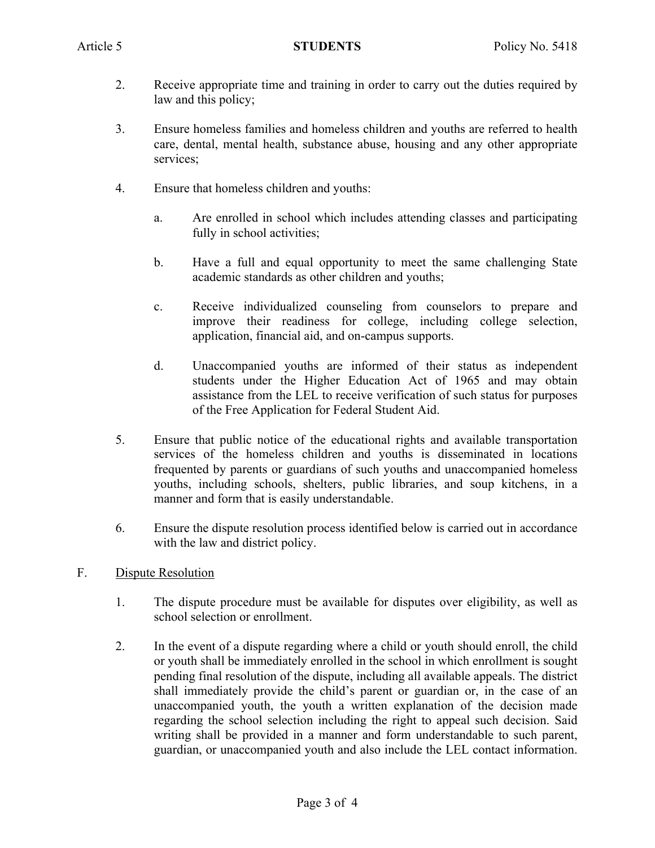- 2. Receive appropriate time and training in order to carry out the duties required by law and this policy;
- 3. Ensure homeless families and homeless children and youths are referred to health care, dental, mental health, substance abuse, housing and any other appropriate services;
- 4. Ensure that homeless children and youths:
	- a. Are enrolled in school which includes attending classes and participating fully in school activities;
	- b. Have a full and equal opportunity to meet the same challenging State academic standards as other children and youths;
	- c. Receive individualized counseling from counselors to prepare and improve their readiness for college, including college selection, application, financial aid, and on-campus supports.
	- d. Unaccompanied youths are informed of their status as independent students under the Higher Education Act of 1965 and may obtain assistance from the LEL to receive verification of such status for purposes of the Free Application for Federal Student Aid.
- 5. Ensure that public notice of the educational rights and available transportation services of the homeless children and youths is disseminated in locations frequented by parents or guardians of such youths and unaccompanied homeless youths, including schools, shelters, public libraries, and soup kitchens, in a manner and form that is easily understandable.
- 6. Ensure the dispute resolution process identified below is carried out in accordance with the law and district policy.
- F. Dispute Resolution
	- 1. The dispute procedure must be available for disputes over eligibility, as well as school selection or enrollment.
	- 2. In the event of a dispute regarding where a child or youth should enroll, the child or youth shall be immediately enrolled in the school in which enrollment is sought pending final resolution of the dispute, including all available appeals. The district shall immediately provide the child's parent or guardian or, in the case of an unaccompanied youth, the youth a written explanation of the decision made regarding the school selection including the right to appeal such decision. Said writing shall be provided in a manner and form understandable to such parent, guardian, or unaccompanied youth and also include the LEL contact information.